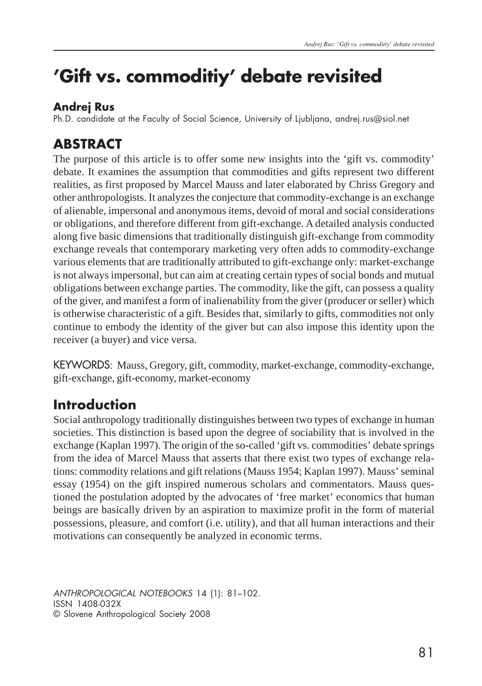# **'Gift vs. commoditiy' debate revisited**

### **Andrej Rus**

Ph.D. candidate at the Faculty of Social Science, University of Ljubljana, andrej.rus@siol.net

### **ABSTRACT**

The purpose of this article is to offer some new insights into the 'gift vs. commodity' debate. It examines the assumption that commodities and gifts represent two different realities, as first proposed by Marcel Mauss and later elaborated by Chriss Gregory and other anthropologists. It analyzes the conjecture that commodity-exchange is an exchange of alienable, impersonal and anonymous items, devoid of moral and social considerations or obligations, and therefore different from gift-exchange. A detailed analysis conducted along five basic dimensions that traditionally distinguish gift-exchange from commodity exchange reveals that contemporary marketing very often adds to commodity-exchange various elements that are traditionally attributed to gift-exchange only: market-exchange is not always impersonal, but can aim at creating certain types of social bonds and mutual obligations between exchange parties. The commodity, like the gift, can possess a quality of the giver, and manifest a form of inalienability from the giver (producer or seller) which is otherwise characteristic of a gift. Besides that, similarly to gifts, commodities not only continue to embody the identity of the giver but can also impose this identity upon the receiver (a buyer) and vice versa.

KEYWORDS: Mauss, Gregory, gift, commodity, market-exchange, commodity-exchange, gift-exchange, gift-economy, market-economy

## **Introduction**

Social anthropology traditionally distinguishes between two types of exchange in human societies. This distinction is based upon the degree of sociability that is involved in the exchange (Kaplan 1997). The origin of the so-called 'gift vs. commodities' debate springs from the idea of Marcel Mauss that asserts that there exist two types of exchange relations: commodity relations and gift relations (Mauss 1954; Kaplan 1997). Mauss' seminal essay (1954) on the gift inspired numerous scholars and commentators. Mauss questioned the postulation adopted by the advocates of 'free market' economics that human beings are basically driven by an aspiration to maximize profit in the form of material possessions, pleasure, and comfort (i.e. utility), and that all human interactions and their motivations can consequently be analyzed in economic terms.

ANTHROPOLOGICAL NOTEBOOKS 14 (1): 81–102. ISSN 1408-032X © Slovene Anthropological Society 2008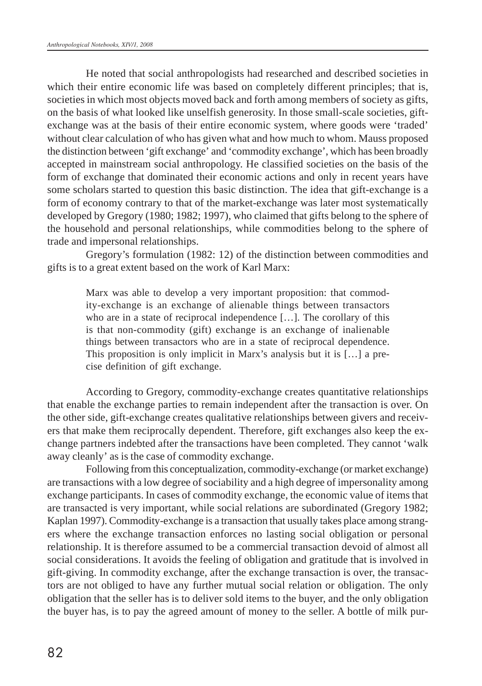He noted that social anthropologists had researched and described societies in which their entire economic life was based on completely different principles; that is, societies in which most objects moved back and forth among members of society as gifts, on the basis of what looked like unselfish generosity. In those small-scale societies, giftexchange was at the basis of their entire economic system, where goods were 'traded' without clear calculation of who has given what and how much to whom. Mauss proposed the distinction between 'gift exchange' and 'commodity exchange', which has been broadly accepted in mainstream social anthropology. He classified societies on the basis of the form of exchange that dominated their economic actions and only in recent years have some scholars started to question this basic distinction. The idea that gift-exchange is a form of economy contrary to that of the market-exchange was later most systematically developed by Gregory (1980; 1982; 1997), who claimed that gifts belong to the sphere of the household and personal relationships, while commodities belong to the sphere of trade and impersonal relationships.

Gregory's formulation (1982: 12) of the distinction between commodities and gifts is to a great extent based on the work of Karl Marx:

> Marx was able to develop a very important proposition: that commodity-exchange is an exchange of alienable things between transactors who are in a state of reciprocal independence […]. The corollary of this is that non-commodity (gift) exchange is an exchange of inalienable things between transactors who are in a state of reciprocal dependence. This proposition is only implicit in Marx's analysis but it is […] a precise definition of gift exchange.

According to Gregory, commodity-exchange creates quantitative relationships that enable the exchange parties to remain independent after the transaction is over. On the other side, gift-exchange creates qualitative relationships between givers and receivers that make them reciprocally dependent. Therefore, gift exchanges also keep the exchange partners indebted after the transactions have been completed. They cannot 'walk away cleanly' as is the case of commodity exchange.

Following from this conceptualization, commodity-exchange (or market exchange) are transactions with a low degree of sociability and a high degree of impersonality among exchange participants. In cases of commodity exchange, the economic value of items that are transacted is very important, while social relations are subordinated (Gregory 1982; Kaplan 1997). Commodity-exchange is a transaction that usually takes place among strangers where the exchange transaction enforces no lasting social obligation or personal relationship. It is therefore assumed to be a commercial transaction devoid of almost all social considerations. It avoids the feeling of obligation and gratitude that is involved in gift-giving. In commodity exchange, after the exchange transaction is over, the transactors are not obliged to have any further mutual social relation or obligation. The only obligation that the seller has is to deliver sold items to the buyer, and the only obligation the buyer has, is to pay the agreed amount of money to the seller. A bottle of milk pur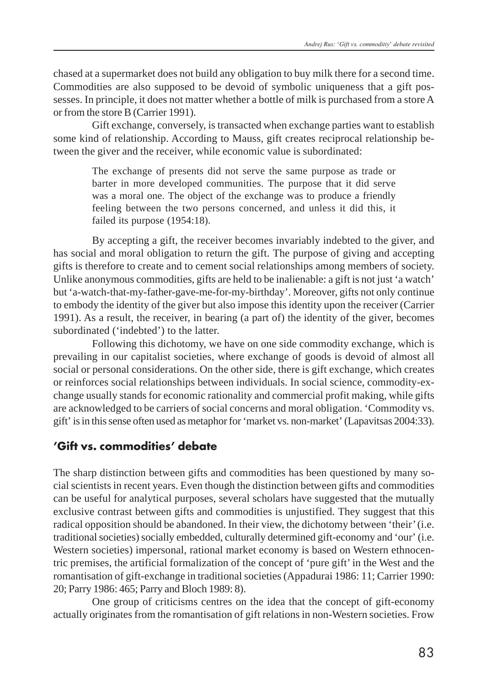chased at a supermarket does not build any obligation to buy milk there for a second time. Commodities are also supposed to be devoid of symbolic uniqueness that a gift possesses. In principle, it does not matter whether a bottle of milk is purchased from a store A or from the store B (Carrier 1991).

Gift exchange, conversely, is transacted when exchange parties want to establish some kind of relationship. According to Mauss, gift creates reciprocal relationship between the giver and the receiver, while economic value is subordinated:

> The exchange of presents did not serve the same purpose as trade or barter in more developed communities. The purpose that it did serve was a moral one. The object of the exchange was to produce a friendly feeling between the two persons concerned, and unless it did this, it failed its purpose (1954:18).

By accepting a gift, the receiver becomes invariably indebted to the giver, and has social and moral obligation to return the gift. The purpose of giving and accepting gifts is therefore to create and to cement social relationships among members of society. Unlike anonymous commodities, gifts are held to be inalienable: a gift is not just 'a watch' but 'a-watch-that-my-father-gave-me-for-my-birthday'. Moreover, gifts not only continue to embody the identity of the giver but also impose this identity upon the receiver (Carrier 1991). As a result, the receiver, in bearing (a part of) the identity of the giver, becomes subordinated ('indebted') to the latter.

Following this dichotomy, we have on one side commodity exchange, which is prevailing in our capitalist societies, where exchange of goods is devoid of almost all social or personal considerations. On the other side, there is gift exchange, which creates or reinforces social relationships between individuals. In social science, commodity-exchange usually stands for economic rationality and commercial profit making, while gifts are acknowledged to be carriers of social concerns and moral obligation. 'Commodity vs. gift' is in this sense often used as metaphor for 'market vs. non-market' (Lapavitsas 2004:33).

#### **'Gift vs. commodities' debate**

The sharp distinction between gifts and commodities has been questioned by many social scientists in recent years. Even though the distinction between gifts and commodities can be useful for analytical purposes, several scholars have suggested that the mutually exclusive contrast between gifts and commodities is unjustified. They suggest that this radical opposition should be abandoned. In their view, the dichotomy between 'their' (i.e. traditional societies) socially embedded, culturally determined gift-economy and 'our' (i.e. Western societies) impersonal, rational market economy is based on Western ethnocentric premises, the artificial formalization of the concept of 'pure gift' in the West and the romantisation of gift-exchange in traditional societies (Appadurai 1986: 11; Carrier 1990: 20; Parry 1986: 465; Parry and Bloch 1989: 8).

One group of criticisms centres on the idea that the concept of gift-economy actually originates from the romantisation of gift relations in non-Western societies. Frow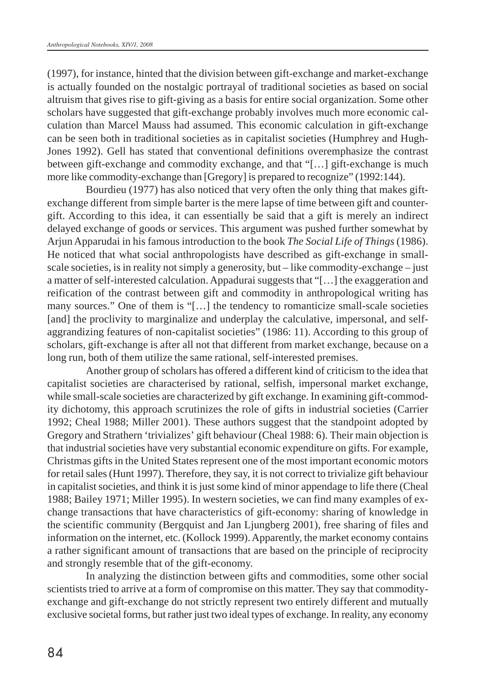(1997), for instance, hinted that the division between gift-exchange and market-exchange is actually founded on the nostalgic portrayal of traditional societies as based on social altruism that gives rise to gift-giving as a basis for entire social organization. Some other scholars have suggested that gift-exchange probably involves much more economic calculation than Marcel Mauss had assumed. This economic calculation in gift-exchange can be seen both in traditional societies as in capitalist societies (Humphrey and Hugh-Jones 1992). Gell has stated that conventional definitions overemphasize the contrast between gift-exchange and commodity exchange, and that "[…] gift-exchange is much more like commodity-exchange than [Gregory] is prepared to recognize" (1992:144).

Bourdieu (1977) has also noticed that very often the only thing that makes giftexchange different from simple barter is the mere lapse of time between gift and countergift. According to this idea, it can essentially be said that a gift is merely an indirect delayed exchange of goods or services. This argument was pushed further somewhat by Arjun Apparudai in his famous introduction to the book *The Social Life of Things* (1986). He noticed that what social anthropologists have described as gift-exchange in smallscale societies, is in reality not simply a generosity, but – like commodity-exchange – just a matter of self-interested calculation. Appadurai suggests that "[…] the exaggeration and reification of the contrast between gift and commodity in anthropological writing has many sources." One of them is "[…] the tendency to romanticize small-scale societies [and] the proclivity to marginalize and underplay the calculative, impersonal, and selfaggrandizing features of non-capitalist societies" (1986: 11). According to this group of scholars, gift-exchange is after all not that different from market exchange, because on a long run, both of them utilize the same rational, self-interested premises.

Another group of scholars has offered a different kind of criticism to the idea that capitalist societies are characterised by rational, selfish, impersonal market exchange, while small-scale societies are characterized by gift exchange. In examining gift-commodity dichotomy, this approach scrutinizes the role of gifts in industrial societies (Carrier 1992; Cheal 1988; Miller 2001). These authors suggest that the standpoint adopted by Gregory and Strathern 'trivializes' gift behaviour (Cheal 1988: 6). Their main objection is that industrial societies have very substantial economic expenditure on gifts. For example, Christmas gifts in the United States represent one of the most important economic motors for retail sales (Hunt 1997). Therefore, they say, it is not correct to trivialize gift behaviour in capitalist societies, and think it is just some kind of minor appendage to life there (Cheal 1988; Bailey 1971; Miller 1995). In western societies, we can find many examples of exchange transactions that have characteristics of gift-economy: sharing of knowledge in the scientific community (Bergquist and Jan Ljungberg 2001), free sharing of files and information on the internet, etc. (Kollock 1999). Apparently, the market economy contains a rather significant amount of transactions that are based on the principle of reciprocity and strongly resemble that of the gift-economy.

In analyzing the distinction between gifts and commodities, some other social scientists tried to arrive at a form of compromise on this matter. They say that commodityexchange and gift-exchange do not strictly represent two entirely different and mutually exclusive societal forms, but rather just two ideal types of exchange. In reality, any economy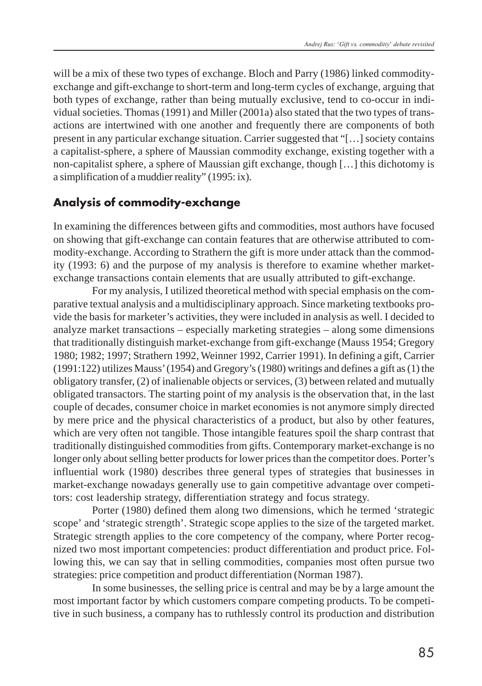will be a mix of these two types of exchange. Bloch and Parry (1986) linked commodityexchange and gift-exchange to short-term and long-term cycles of exchange, arguing that both types of exchange, rather than being mutually exclusive, tend to co-occur in individual societies. Thomas (1991) and Miller (2001a) also stated that the two types of transactions are intertwined with one another and frequently there are components of both present in any particular exchange situation. Carrier suggested that "[…] society contains a capitalist-sphere, a sphere of Maussian commodity exchange, existing together with a non-capitalist sphere, a sphere of Maussian gift exchange, though […] this dichotomy is a simplification of a muddier reality" (1995: ix).

#### **Analysis of commodity-exchange**

In examining the differences between gifts and commodities, most authors have focused on showing that gift-exchange can contain features that are otherwise attributed to commodity-exchange. According to Strathern the gift is more under attack than the commodity (1993: 6) and the purpose of my analysis is therefore to examine whether marketexchange transactions contain elements that are usually attributed to gift-exchange.

For my analysis, I utilized theoretical method with special emphasis on the comparative textual analysis and a multidisciplinary approach. Since marketing textbooks provide the basis for marketer's activities, they were included in analysis as well. I decided to analyze market transactions – especially marketing strategies – along some dimensions that traditionally distinguish market-exchange from gift-exchange (Mauss 1954; Gregory 1980; 1982; 1997; Strathern 1992, Weinner 1992, Carrier 1991). In defining a gift, Carrier (1991:122) utilizes Mauss' (1954) and Gregory's (1980) writings and defines a gift as (1) the obligatory transfer, (2) of inalienable objects or services, (3) between related and mutually obligated transactors. The starting point of my analysis is the observation that, in the last couple of decades, consumer choice in market economies is not anymore simply directed by mere price and the physical characteristics of a product, but also by other features, which are very often not tangible. Those intangible features spoil the sharp contrast that traditionally distinguished commodities from gifts. Contemporary market-exchange is no longer only about selling better products for lower prices than the competitor does. Porter's influential work (1980) describes three general types of strategies that businesses in market-exchange nowadays generally use to gain competitive advantage over competitors: cost leadership strategy, differentiation strategy and focus strategy.

Porter (1980) defined them along two dimensions, which he termed 'strategic scope' and 'strategic strength'. Strategic scope applies to the size of the targeted market. Strategic strength applies to the core competency of the company, where Porter recognized two most important competencies: product differentiation and product price. Following this, we can say that in selling commodities, companies most often pursue two strategies: price competition and product differentiation (Norman 1987).

In some businesses, the selling price is central and may be by a large amount the most important factor by which customers compare competing products. To be competitive in such business, a company has to ruthlessly control its production and distribution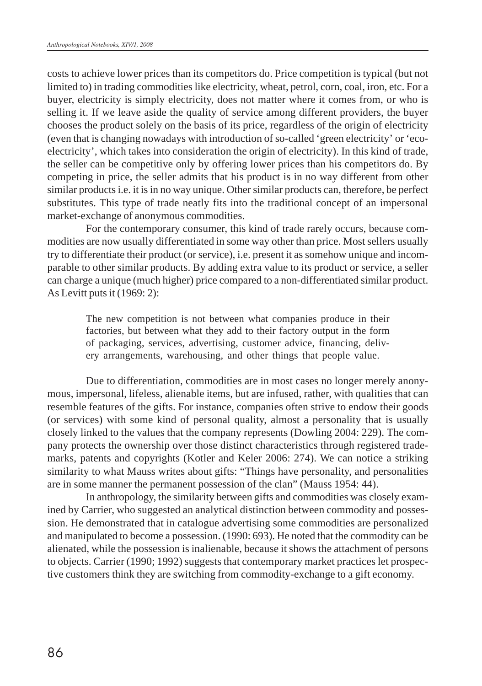costs to achieve lower prices than its competitors do. Price competition is typical (but not limited to) in trading commodities like electricity, wheat, petrol, corn, coal, iron, etc. For a buyer, electricity is simply electricity, does not matter where it comes from, or who is selling it. If we leave aside the quality of service among different providers, the buyer chooses the product solely on the basis of its price, regardless of the origin of electricity (even that is changing nowadays with introduction of so-called 'green electricity' or 'ecoelectricity', which takes into consideration the origin of electricity). In this kind of trade, the seller can be competitive only by offering lower prices than his competitors do. By competing in price, the seller admits that his product is in no way different from other similar products i.e. it is in no way unique. Other similar products can, therefore, be perfect substitutes. This type of trade neatly fits into the traditional concept of an impersonal market-exchange of anonymous commodities.

For the contemporary consumer, this kind of trade rarely occurs, because commodities are now usually differentiated in some way other than price. Most sellers usually try to differentiate their product (or service), i.e. present it as somehow unique and incomparable to other similar products. By adding extra value to its product or service, a seller can charge a unique (much higher) price compared to a non-differentiated similar product. As Levitt puts it (1969: 2):

> The new competition is not between what companies produce in their factories, but between what they add to their factory output in the form of packaging, services, advertising, customer advice, financing, delivery arrangements, warehousing, and other things that people value.

Due to differentiation, commodities are in most cases no longer merely anonymous, impersonal, lifeless, alienable items, but are infused, rather, with qualities that can resemble features of the gifts. For instance, companies often strive to endow their goods (or services) with some kind of personal quality, almost a personality that is usually closely linked to the values that the company represents (Dowling 2004: 229). The company protects the ownership over those distinct characteristics through registered trademarks, patents and copyrights (Kotler and Keler 2006: 274). We can notice a striking similarity to what Mauss writes about gifts: "Things have personality, and personalities are in some manner the permanent possession of the clan" (Mauss 1954: 44).

In anthropology, the similarity between gifts and commodities was closely examined by Carrier, who suggested an analytical distinction between commodity and possession. He demonstrated that in catalogue advertising some commodities are personalized and manipulated to become a possession. (1990: 693). He noted that the commodity can be alienated, while the possession is inalienable, because it shows the attachment of persons to objects. Carrier (1990; 1992) suggests that contemporary market practices let prospective customers think they are switching from commodity-exchange to a gift economy.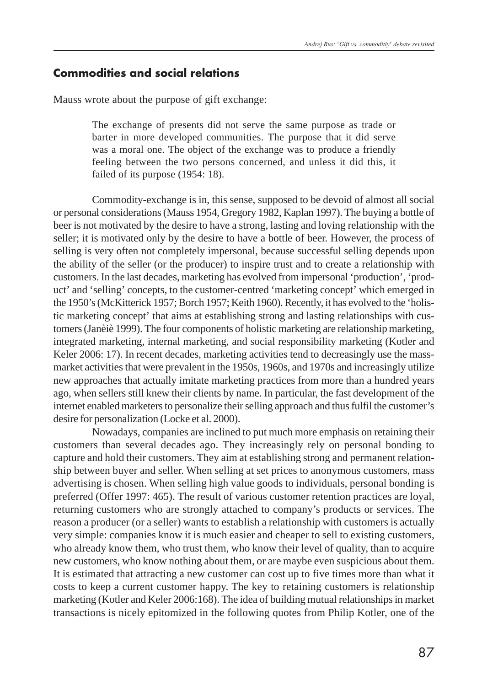#### **Commodities and social relations**

Mauss wrote about the purpose of gift exchange:

The exchange of presents did not serve the same purpose as trade or barter in more developed communities. The purpose that it did serve was a moral one. The object of the exchange was to produce a friendly feeling between the two persons concerned, and unless it did this, it failed of its purpose (1954: 18).

Commodity-exchange is in, this sense, supposed to be devoid of almost all social or personal considerations (Mauss 1954, Gregory 1982, Kaplan 1997). The buying a bottle of beer is not motivated by the desire to have a strong, lasting and loving relationship with the seller; it is motivated only by the desire to have a bottle of beer. However, the process of selling is very often not completely impersonal, because successful selling depends upon the ability of the seller (or the producer) to inspire trust and to create a relationship with customers. In the last decades, marketing has evolved from impersonal 'production', 'product' and 'selling' concepts, to the customer-centred 'marketing concept' which emerged in the 1950's (McKitterick 1957; Borch 1957; Keith 1960). Recently, it has evolved to the 'holistic marketing concept' that aims at establishing strong and lasting relationships with customers (Janèiè 1999). The four components of holistic marketing are relationship marketing, integrated marketing, internal marketing, and social responsibility marketing (Kotler and Keler 2006: 17). In recent decades, marketing activities tend to decreasingly use the massmarket activities that were prevalent in the 1950s, 1960s, and 1970s and increasingly utilize new approaches that actually imitate marketing practices from more than a hundred years ago, when sellers still knew their clients by name. In particular, the fast development of the internet enabled marketers to personalize their selling approach and thus fulfil the customer's desire for personalization (Locke et al. 2000).

Nowadays, companies are inclined to put much more emphasis on retaining their customers than several decades ago. They increasingly rely on personal bonding to capture and hold their customers. They aim at establishing strong and permanent relationship between buyer and seller. When selling at set prices to anonymous customers, mass advertising is chosen. When selling high value goods to individuals, personal bonding is preferred (Offer 1997: 465). The result of various customer retention practices are loyal, returning customers who are strongly attached to company's products or services. The reason a producer (or a seller) wants to establish a relationship with customers is actually very simple: companies know it is much easier and cheaper to sell to existing customers, who already know them, who trust them, who know their level of quality, than to acquire new customers, who know nothing about them, or are maybe even suspicious about them. It is estimated that attracting a new customer can cost up to five times more than what it costs to keep a current customer happy. The key to retaining customers is relationship marketing (Kotler and Keler 2006:168). The idea of building mutual relationships in market transactions is nicely epitomized in the following quotes from Philip Kotler, one of the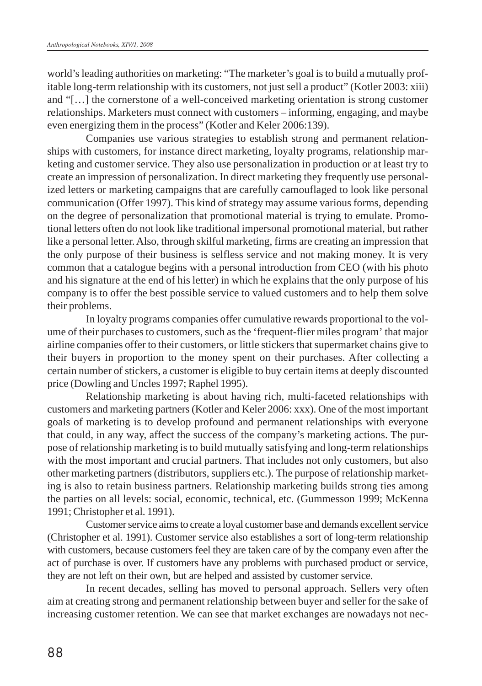world's leading authorities on marketing: "The marketer's goal is to build a mutually profitable long-term relationship with its customers, not just sell a product" (Kotler 2003: xiii) and "[…] the cornerstone of a well-conceived marketing orientation is strong customer relationships. Marketers must connect with customers – informing, engaging, and maybe even energizing them in the process" (Kotler and Keler 2006:139).

Companies use various strategies to establish strong and permanent relationships with customers, for instance direct marketing, loyalty programs, relationship marketing and customer service. They also use personalization in production or at least try to create an impression of personalization. In direct marketing they frequently use personalized letters or marketing campaigns that are carefully camouflaged to look like personal communication (Offer 1997). This kind of strategy may assume various forms, depending on the degree of personalization that promotional material is trying to emulate. Promotional letters often do not look like traditional impersonal promotional material, but rather like a personal letter. Also, through skilful marketing, firms are creating an impression that the only purpose of their business is selfless service and not making money. It is very common that a catalogue begins with a personal introduction from CEO (with his photo and his signature at the end of his letter) in which he explains that the only purpose of his company is to offer the best possible service to valued customers and to help them solve their problems.

In loyalty programs companies offer cumulative rewards proportional to the volume of their purchases to customers, such as the 'frequent-flier miles program' that major airline companies offer to their customers, or little stickers that supermarket chains give to their buyers in proportion to the money spent on their purchases. After collecting a certain number of stickers, a customer is eligible to buy certain items at deeply discounted price (Dowling and Uncles 1997; Raphel 1995).

Relationship marketing is about having rich, multi-faceted relationships with customers and marketing partners (Kotler and Keler 2006: xxx). One of the most important goals of marketing is to develop profound and permanent relationships with everyone that could, in any way, affect the success of the company's marketing actions. The purpose of relationship marketing is to build mutually satisfying and long-term relationships with the most important and crucial partners. That includes not only customers, but also other marketing partners (distributors, suppliers etc.). The purpose of relationship marketing is also to retain business partners. Relationship marketing builds strong ties among the parties on all levels: social, economic, technical, etc. (Gummesson 1999; McKenna 1991; Christopher et al. 1991).

Customer service aims to create a loyal customer base and demands excellent service (Christopher et al. 1991). Customer service also establishes a sort of long-term relationship with customers, because customers feel they are taken care of by the company even after the act of purchase is over. If customers have any problems with purchased product or service, they are not left on their own, but are helped and assisted by customer service.

In recent decades, selling has moved to personal approach. Sellers very often aim at creating strong and permanent relationship between buyer and seller for the sake of increasing customer retention. We can see that market exchanges are nowadays not nec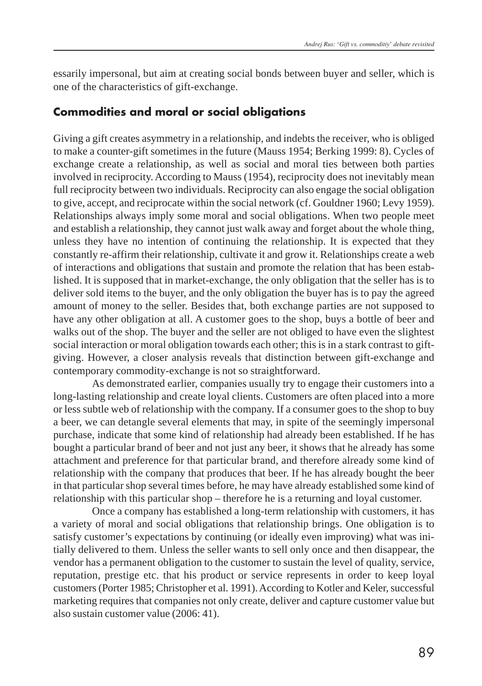essarily impersonal, but aim at creating social bonds between buyer and seller, which is one of the characteristics of gift-exchange.

#### **Commodities and moral or social obligations**

Giving a gift creates asymmetry in a relationship, and indebts the receiver, who is obliged to make a counter-gift sometimes in the future (Mauss 1954; Berking 1999: 8). Cycles of exchange create a relationship, as well as social and moral ties between both parties involved in reciprocity. According to Mauss (1954), reciprocity does not inevitably mean full reciprocity between two individuals. Reciprocity can also engage the social obligation to give, accept, and reciprocate within the social network (cf. Gouldner 1960; Levy 1959). Relationships always imply some moral and social obligations. When two people meet and establish a relationship, they cannot just walk away and forget about the whole thing, unless they have no intention of continuing the relationship. It is expected that they constantly re-affirm their relationship, cultivate it and grow it. Relationships create a web of interactions and obligations that sustain and promote the relation that has been established. It is supposed that in market-exchange, the only obligation that the seller has is to deliver sold items to the buyer, and the only obligation the buyer has is to pay the agreed amount of money to the seller. Besides that, both exchange parties are not supposed to have any other obligation at all. A customer goes to the shop, buys a bottle of beer and walks out of the shop. The buyer and the seller are not obliged to have even the slightest social interaction or moral obligation towards each other; this is in a stark contrast to giftgiving. However, a closer analysis reveals that distinction between gift-exchange and contemporary commodity-exchange is not so straightforward.

As demonstrated earlier, companies usually try to engage their customers into a long-lasting relationship and create loyal clients. Customers are often placed into a more or less subtle web of relationship with the company. If a consumer goes to the shop to buy a beer, we can detangle several elements that may, in spite of the seemingly impersonal purchase, indicate that some kind of relationship had already been established. If he has bought a particular brand of beer and not just any beer, it shows that he already has some attachment and preference for that particular brand, and therefore already some kind of relationship with the company that produces that beer. If he has already bought the beer in that particular shop several times before, he may have already established some kind of relationship with this particular shop – therefore he is a returning and loyal customer.

Once a company has established a long-term relationship with customers, it has a variety of moral and social obligations that relationship brings. One obligation is to satisfy customer's expectations by continuing (or ideally even improving) what was initially delivered to them. Unless the seller wants to sell only once and then disappear, the vendor has a permanent obligation to the customer to sustain the level of quality, service, reputation, prestige etc. that his product or service represents in order to keep loyal customers (Porter 1985; Christopher et al. 1991). According to Kotler and Keler, successful marketing requires that companies not only create, deliver and capture customer value but also sustain customer value (2006: 41).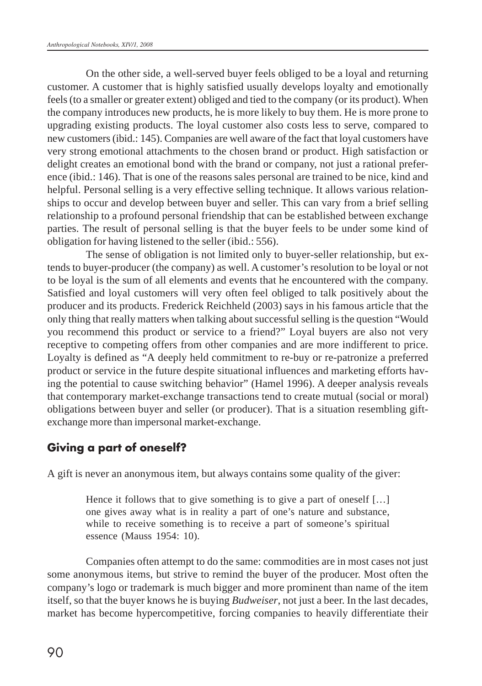On the other side, a well-served buyer feels obliged to be a loyal and returning customer. A customer that is highly satisfied usually develops loyalty and emotionally feels (to a smaller or greater extent) obliged and tied to the company (or its product). When the company introduces new products, he is more likely to buy them. He is more prone to upgrading existing products. The loyal customer also costs less to serve, compared to new customers (ibid.: 145). Companies are well aware of the fact that loyal customers have very strong emotional attachments to the chosen brand or product. High satisfaction or delight creates an emotional bond with the brand or company, not just a rational preference (ibid.: 146). That is one of the reasons sales personal are trained to be nice, kind and helpful. Personal selling is a very effective selling technique. It allows various relationships to occur and develop between buyer and seller. This can vary from a brief selling relationship to a profound personal friendship that can be established between exchange parties. The result of personal selling is that the buyer feels to be under some kind of obligation for having listened to the seller (ibid.: 556).

The sense of obligation is not limited only to buyer-seller relationship, but extends to buyer-producer (the company) as well. A customer's resolution to be loyal or not to be loyal is the sum of all elements and events that he encountered with the company. Satisfied and loyal customers will very often feel obliged to talk positively about the producer and its products. Frederick Reichheld (2003) says in his famous article that the only thing that really matters when talking about successful selling is the question "Would you recommend this product or service to a friend?" Loyal buyers are also not very receptive to competing offers from other companies and are more indifferent to price. Loyalty is defined as "A deeply held commitment to re-buy or re-patronize a preferred product or service in the future despite situational influences and marketing efforts having the potential to cause switching behavior" (Hamel 1996). A deeper analysis reveals that contemporary market-exchange transactions tend to create mutual (social or moral) obligations between buyer and seller (or producer). That is a situation resembling giftexchange more than impersonal market-exchange.

#### **Giving a part of oneself?**

A gift is never an anonymous item, but always contains some quality of the giver:

Hence it follows that to give something is to give a part of oneself [...] one gives away what is in reality a part of one's nature and substance, while to receive something is to receive a part of someone's spiritual essence (Mauss 1954: 10).

Companies often attempt to do the same: commodities are in most cases not just some anonymous items, but strive to remind the buyer of the producer. Most often the company's logo or trademark is much bigger and more prominent than name of the item itself, so that the buyer knows he is buying *Budweiser*, not just a beer. In the last decades, market has become hypercompetitive, forcing companies to heavily differentiate their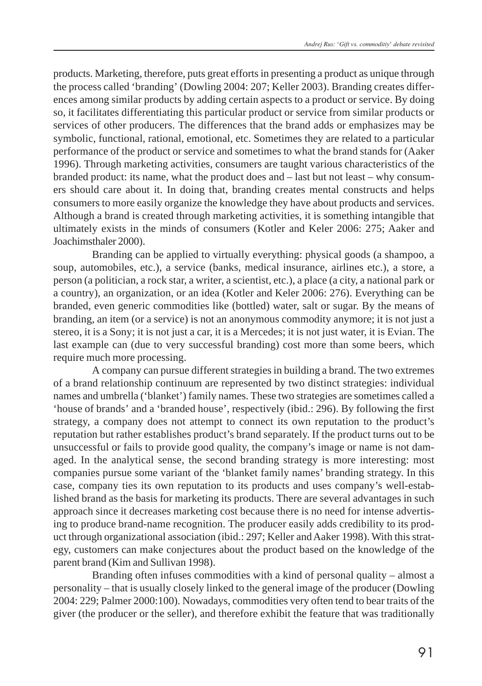products. Marketing, therefore, puts great efforts in presenting a product as unique through the process called 'branding' (Dowling 2004: 207; Keller 2003). Branding creates differences among similar products by adding certain aspects to a product or service. By doing so, it facilitates differentiating this particular product or service from similar products or services of other producers. The differences that the brand adds or emphasizes may be symbolic, functional, rational, emotional, etc. Sometimes they are related to a particular performance of the product or service and sometimes to what the brand stands for (Aaker 1996). Through marketing activities, consumers are taught various characteristics of the branded product: its name, what the product does and – last but not least – why consumers should care about it. In doing that, branding creates mental constructs and helps consumers to more easily organize the knowledge they have about products and services. Although a brand is created through marketing activities, it is something intangible that ultimately exists in the minds of consumers (Kotler and Keler 2006: 275; Aaker and Joachimsthaler 2000).

Branding can be applied to virtually everything: physical goods (a shampoo, a soup, automobiles, etc.), a service (banks, medical insurance, airlines etc.), a store, a person (a politician, a rock star, a writer, a scientist, etc.), a place (a city, a national park or a country), an organization, or an idea (Kotler and Keler 2006: 276). Everything can be branded, even generic commodities like (bottled) water, salt or sugar. By the means of branding, an item (or a service) is not an anonymous commodity anymore; it is not just a stereo, it is a Sony; it is not just a car, it is a Mercedes; it is not just water, it is Evian. The last example can (due to very successful branding) cost more than some beers, which require much more processing.

A company can pursue different strategies in building a brand. The two extremes of a brand relationship continuum are represented by two distinct strategies: individual names and umbrella ('blanket') family names. These two strategies are sometimes called a 'house of brands' and a 'branded house', respectively (ibid.: 296). By following the first strategy, a company does not attempt to connect its own reputation to the product's reputation but rather establishes product's brand separately. If the product turns out to be unsuccessful or fails to provide good quality, the company's image or name is not damaged. In the analytical sense, the second branding strategy is more interesting: most companies pursue some variant of the 'blanket family names' branding strategy. In this case, company ties its own reputation to its products and uses company's well-established brand as the basis for marketing its products. There are several advantages in such approach since it decreases marketing cost because there is no need for intense advertising to produce brand-name recognition. The producer easily adds credibility to its product through organizational association (ibid.: 297; Keller and Aaker 1998). With this strategy, customers can make conjectures about the product based on the knowledge of the parent brand (Kim and Sullivan 1998).

Branding often infuses commodities with a kind of personal quality – almost a personality – that is usually closely linked to the general image of the producer (Dowling 2004: 229; Palmer 2000:100). Nowadays, commodities very often tend to bear traits of the giver (the producer or the seller), and therefore exhibit the feature that was traditionally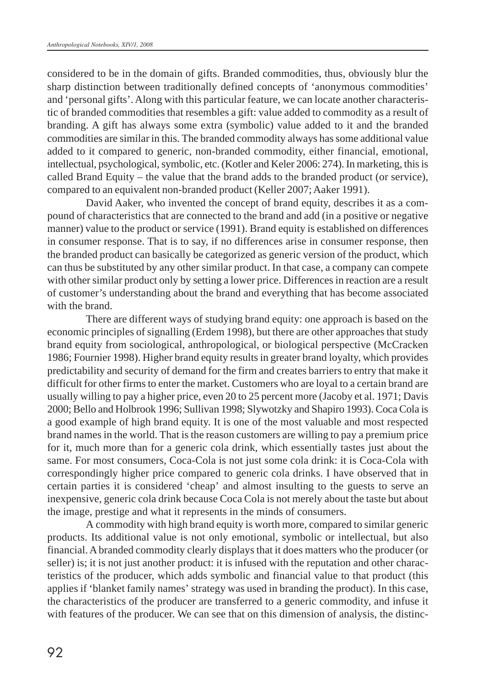considered to be in the domain of gifts. Branded commodities, thus, obviously blur the sharp distinction between traditionally defined concepts of 'anonymous commodities' and 'personal gifts'. Along with this particular feature, we can locate another characteristic of branded commodities that resembles a gift: value added to commodity as a result of branding. A gift has always some extra (symbolic) value added to it and the branded commodities are similar in this. The branded commodity always has some additional value added to it compared to generic, non-branded commodity, either financial, emotional, intellectual, psychological, symbolic, etc. (Kotler and Keler 2006: 274). In marketing, this is called Brand Equity – the value that the brand adds to the branded product (or service), compared to an equivalent non-branded product (Keller 2007; Aaker 1991).

David Aaker, who invented the concept of brand equity, describes it as a compound of characteristics that are connected to the brand and add (in a positive or negative manner) value to the product or service (1991). Brand equity is established on differences in consumer response. That is to say, if no differences arise in consumer response, then the branded product can basically be categorized as generic version of the product, which can thus be substituted by any other similar product. In that case, a company can compete with other similar product only by setting a lower price. Differences in reaction are a result of customer's understanding about the brand and everything that has become associated with the brand.

There are different ways of studying brand equity: one approach is based on the economic principles of signalling (Erdem 1998), but there are other approaches that study brand equity from sociological, anthropological, or biological perspective (McCracken 1986; Fournier 1998). Higher brand equity results in greater brand loyalty, which provides predictability and security of demand for the firm and creates barriers to entry that make it difficult for other firms to enter the market. Customers who are loyal to a certain brand are usually willing to pay a higher price, even 20 to 25 percent more (Jacoby et al. 1971; Davis 2000; Bello and Holbrook 1996; Sullivan 1998; Slywotzky and Shapiro 1993). Coca Cola is a good example of high brand equity. It is one of the most valuable and most respected brand names in the world. That is the reason customers are willing to pay a premium price for it, much more than for a generic cola drink, which essentially tastes just about the same. For most consumers, Coca-Cola is not just some cola drink: it is Coca-Cola with correspondingly higher price compared to generic cola drinks. I have observed that in certain parties it is considered 'cheap' and almost insulting to the guests to serve an inexpensive, generic cola drink because Coca Cola is not merely about the taste but about the image, prestige and what it represents in the minds of consumers.

A commodity with high brand equity is worth more, compared to similar generic products. Its additional value is not only emotional, symbolic or intellectual, but also financial. A branded commodity clearly displays that it does matters who the producer (or seller) is; it is not just another product: it is infused with the reputation and other characteristics of the producer, which adds symbolic and financial value to that product (this applies if 'blanket family names' strategy was used in branding the product). In this case, the characteristics of the producer are transferred to a generic commodity, and infuse it with features of the producer. We can see that on this dimension of analysis, the distinc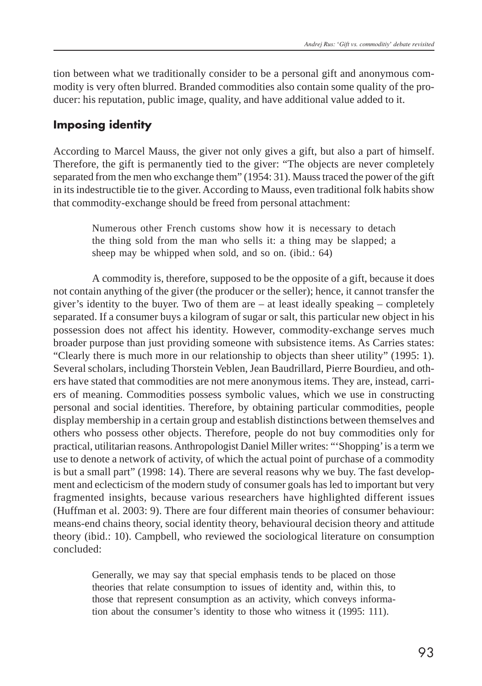tion between what we traditionally consider to be a personal gift and anonymous commodity is very often blurred. Branded commodities also contain some quality of the producer: his reputation, public image, quality, and have additional value added to it.

#### **Imposing identity**

According to Marcel Mauss, the giver not only gives a gift, but also a part of himself. Therefore, the gift is permanently tied to the giver: "The objects are never completely separated from the men who exchange them" (1954: 31). Mauss traced the power of the gift in its indestructible tie to the giver. According to Mauss, even traditional folk habits show that commodity-exchange should be freed from personal attachment:

> Numerous other French customs show how it is necessary to detach the thing sold from the man who sells it: a thing may be slapped; a sheep may be whipped when sold, and so on. (ibid.: 64)

A commodity is, therefore, supposed to be the opposite of a gift, because it does not contain anything of the giver (the producer or the seller); hence, it cannot transfer the giver's identity to the buyer. Two of them are  $-$  at least ideally speaking  $-$  completely separated. If a consumer buys a kilogram of sugar or salt, this particular new object in his possession does not affect his identity. However, commodity-exchange serves much broader purpose than just providing someone with subsistence items. As Carries states: "Clearly there is much more in our relationship to objects than sheer utility" (1995: 1). Several scholars, including Thorstein Veblen, Jean Baudrillard, Pierre Bourdieu, and others have stated that commodities are not mere anonymous items. They are, instead, carriers of meaning. Commodities possess symbolic values, which we use in constructing personal and social identities. Therefore, by obtaining particular commodities, people display membership in a certain group and establish distinctions between themselves and others who possess other objects. Therefore, people do not buy commodities only for practical, utilitarian reasons. Anthropologist Daniel Miller writes: "'Shopping' is a term we use to denote a network of activity, of which the actual point of purchase of a commodity is but a small part" (1998: 14). There are several reasons why we buy. The fast development and eclecticism of the modern study of consumer goals has led to important but very fragmented insights, because various researchers have highlighted different issues (Huffman et al. 2003: 9). There are four different main theories of consumer behaviour: means-end chains theory, social identity theory, behavioural decision theory and attitude theory (ibid.: 10). Campbell, who reviewed the sociological literature on consumption concluded:

Generally, we may say that special emphasis tends to be placed on those theories that relate consumption to issues of identity and, within this, to those that represent consumption as an activity, which conveys information about the consumer's identity to those who witness it (1995: 111).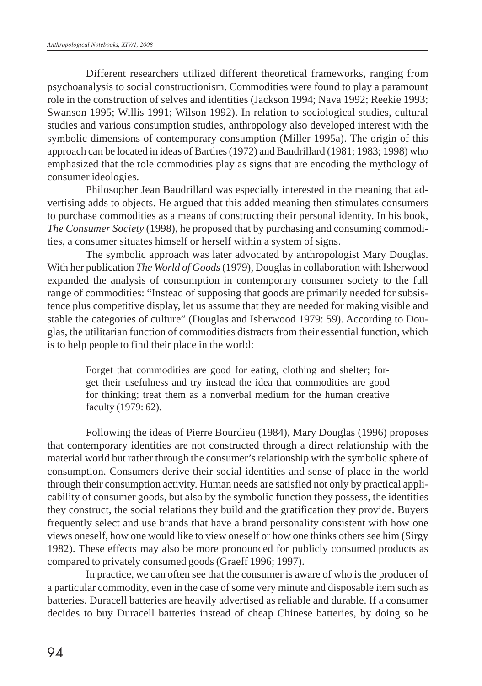Different researchers utilized different theoretical frameworks, ranging from psychoanalysis to social constructionism. Commodities were found to play a paramount role in the construction of selves and identities (Jackson 1994; Nava 1992; Reekie 1993; Swanson 1995; Willis 1991; Wilson 1992). In relation to sociological studies, cultural studies and various consumption studies, anthropology also developed interest with the symbolic dimensions of contemporary consumption (Miller 1995a). The origin of this approach can be located in ideas of Barthes (1972) and Baudrillard (1981; 1983; 1998) who emphasized that the role commodities play as signs that are encoding the mythology of consumer ideologies.

Philosopher Jean Baudrillard was especially interested in the meaning that advertising adds to objects. He argued that this added meaning then stimulates consumers to purchase commodities as a means of constructing their personal identity. In his book, *The Consumer Society* (1998), he proposed that by purchasing and consuming commodities, a consumer situates himself or herself within a system of signs.

The symbolic approach was later advocated by anthropologist Mary Douglas. With her publication *The World of Goods* (1979), Douglas in collaboration with Isherwood expanded the analysis of consumption in contemporary consumer society to the full range of commodities: "Instead of supposing that goods are primarily needed for subsistence plus competitive display, let us assume that they are needed for making visible and stable the categories of culture" (Douglas and Isherwood 1979: 59). According to Douglas, the utilitarian function of commodities distracts from their essential function, which is to help people to find their place in the world:

> Forget that commodities are good for eating, clothing and shelter; forget their usefulness and try instead the idea that commodities are good for thinking; treat them as a nonverbal medium for the human creative faculty (1979: 62).

Following the ideas of Pierre Bourdieu (1984), Mary Douglas (1996) proposes that contemporary identities are not constructed through a direct relationship with the material world but rather through the consumer's relationship with the symbolic sphere of consumption. Consumers derive their social identities and sense of place in the world through their consumption activity. Human needs are satisfied not only by practical applicability of consumer goods, but also by the symbolic function they possess, the identities they construct, the social relations they build and the gratification they provide. Buyers frequently select and use brands that have a brand personality consistent with how one views oneself, how one would like to view oneself or how one thinks others see him (Sirgy 1982). These effects may also be more pronounced for publicly consumed products as compared to privately consumed goods (Graeff 1996; 1997).

In practice, we can often see that the consumer is aware of who is the producer of a particular commodity, even in the case of some very minute and disposable item such as batteries. Duracell batteries are heavily advertised as reliable and durable. If a consumer decides to buy Duracell batteries instead of cheap Chinese batteries, by doing so he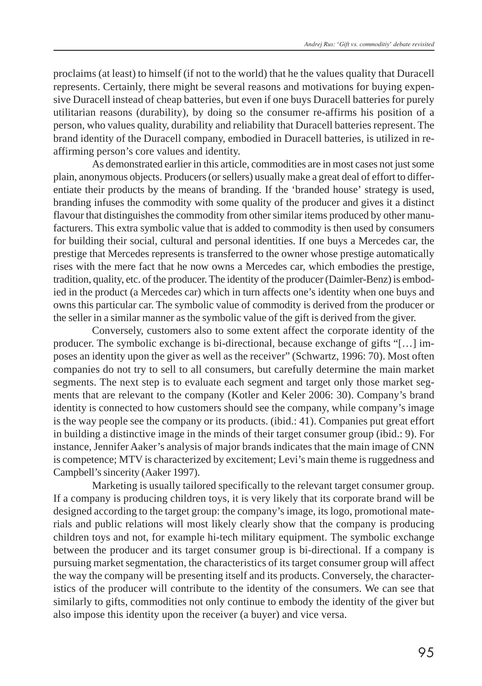proclaims (at least) to himself (if not to the world) that he the values quality that Duracell represents. Certainly, there might be several reasons and motivations for buying expensive Duracell instead of cheap batteries, but even if one buys Duracell batteries for purely utilitarian reasons (durability), by doing so the consumer re-affirms his position of a person, who values quality, durability and reliability that Duracell batteries represent. The brand identity of the Duracell company, embodied in Duracell batteries, is utilized in reaffirming person's core values and identity.

As demonstrated earlier in this article, commodities are in most cases not just some plain, anonymous objects. Producers (or sellers) usually make a great deal of effort to differentiate their products by the means of branding. If the 'branded house' strategy is used, branding infuses the commodity with some quality of the producer and gives it a distinct flavour that distinguishes the commodity from other similar items produced by other manufacturers. This extra symbolic value that is added to commodity is then used by consumers for building their social, cultural and personal identities. If one buys a Mercedes car, the prestige that Mercedes represents is transferred to the owner whose prestige automatically rises with the mere fact that he now owns a Mercedes car, which embodies the prestige, tradition, quality, etc. of the producer. The identity of the producer (Daimler-Benz) is embodied in the product (a Mercedes car) which in turn affects one's identity when one buys and owns this particular car. The symbolic value of commodity is derived from the producer or the seller in a similar manner as the symbolic value of the gift is derived from the giver.

Conversely, customers also to some extent affect the corporate identity of the producer. The symbolic exchange is bi-directional, because exchange of gifts "[…] imposes an identity upon the giver as well as the receiver" (Schwartz, 1996: 70). Most often companies do not try to sell to all consumers, but carefully determine the main market segments. The next step is to evaluate each segment and target only those market segments that are relevant to the company (Kotler and Keler 2006: 30). Company's brand identity is connected to how customers should see the company, while company's image is the way people see the company or its products. (ibid.: 41). Companies put great effort in building a distinctive image in the minds of their target consumer group (ibid.: 9). For instance, Jennifer Aaker's analysis of major brands indicates that the main image of CNN is competence; MTV is characterized by excitement; Levi's main theme is ruggedness and Campbell's sincerity (Aaker 1997).

Marketing is usually tailored specifically to the relevant target consumer group. If a company is producing children toys, it is very likely that its corporate brand will be designed according to the target group: the company's image, its logo, promotional materials and public relations will most likely clearly show that the company is producing children toys and not, for example hi-tech military equipment. The symbolic exchange between the producer and its target consumer group is bi-directional. If a company is pursuing market segmentation, the characteristics of its target consumer group will affect the way the company will be presenting itself and its products. Conversely, the characteristics of the producer will contribute to the identity of the consumers. We can see that similarly to gifts, commodities not only continue to embody the identity of the giver but also impose this identity upon the receiver (a buyer) and vice versa.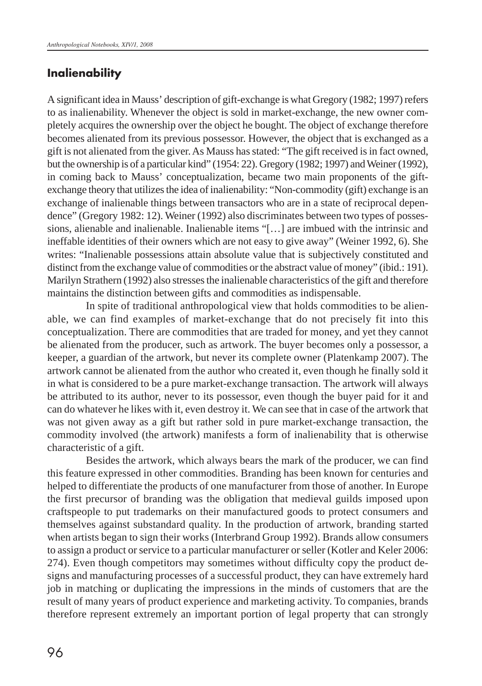#### **Inalienability**

A significant idea in Mauss' description of gift-exchange is what Gregory (1982; 1997) refers to as inalienability. Whenever the object is sold in market-exchange, the new owner completely acquires the ownership over the object he bought. The object of exchange therefore becomes alienated from its previous possessor. However, the object that is exchanged as a gift is not alienated from the giver. As Mauss has stated: "The gift received is in fact owned, but the ownership is of a particular kind" (1954: 22). Gregory (1982; 1997) and Weiner (1992), in coming back to Mauss' conceptualization, became two main proponents of the giftexchange theory that utilizes the idea of inalienability: "Non-commodity (gift) exchange is an exchange of inalienable things between transactors who are in a state of reciprocal dependence" (Gregory 1982: 12). Weiner (1992) also discriminates between two types of possessions, alienable and inalienable. Inalienable items "[…] are imbued with the intrinsic and ineffable identities of their owners which are not easy to give away" (Weiner 1992, 6). She writes: "Inalienable possessions attain absolute value that is subjectively constituted and distinct from the exchange value of commodities or the abstract value of money" (ibid.: 191). Marilyn Strathern (1992) also stresses the inalienable characteristics of the gift and therefore maintains the distinction between gifts and commodities as indispensable.

In spite of traditional anthropological view that holds commodities to be alienable, we can find examples of market-exchange that do not precisely fit into this conceptualization. There are commodities that are traded for money, and yet they cannot be alienated from the producer, such as artwork. The buyer becomes only a possessor, a keeper, a guardian of the artwork, but never its complete owner (Platenkamp 2007). The artwork cannot be alienated from the author who created it, even though he finally sold it in what is considered to be a pure market-exchange transaction. The artwork will always be attributed to its author, never to its possessor, even though the buyer paid for it and can do whatever he likes with it, even destroy it. We can see that in case of the artwork that was not given away as a gift but rather sold in pure market-exchange transaction, the commodity involved (the artwork) manifests a form of inalienability that is otherwise characteristic of a gift.

Besides the artwork, which always bears the mark of the producer, we can find this feature expressed in other commodities. Branding has been known for centuries and helped to differentiate the products of one manufacturer from those of another. In Europe the first precursor of branding was the obligation that medieval guilds imposed upon craftspeople to put trademarks on their manufactured goods to protect consumers and themselves against substandard quality. In the production of artwork, branding started when artists began to sign their works (Interbrand Group 1992). Brands allow consumers to assign a product or service to a particular manufacturer or seller (Kotler and Keler 2006: 274). Even though competitors may sometimes without difficulty copy the product designs and manufacturing processes of a successful product, they can have extremely hard job in matching or duplicating the impressions in the minds of customers that are the result of many years of product experience and marketing activity. To companies, brands therefore represent extremely an important portion of legal property that can strongly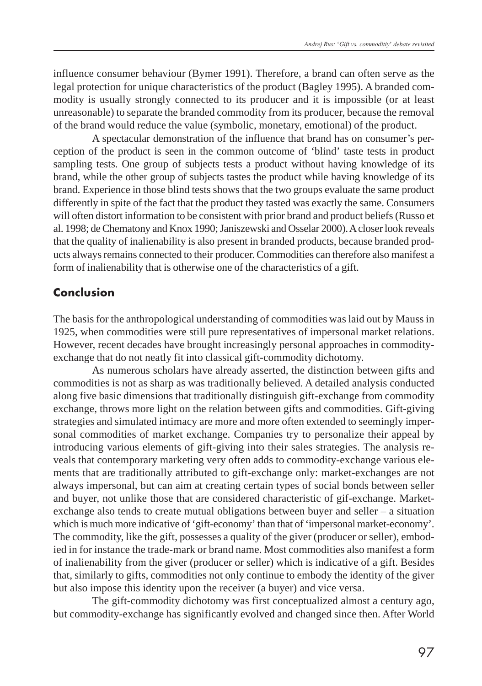influence consumer behaviour (Bymer 1991). Therefore, a brand can often serve as the legal protection for unique characteristics of the product (Bagley 1995). A branded commodity is usually strongly connected to its producer and it is impossible (or at least unreasonable) to separate the branded commodity from its producer, because the removal of the brand would reduce the value (symbolic, monetary, emotional) of the product.

A spectacular demonstration of the influence that brand has on consumer's perception of the product is seen in the common outcome of 'blind' taste tests in product sampling tests. One group of subjects tests a product without having knowledge of its brand, while the other group of subjects tastes the product while having knowledge of its brand. Experience in those blind tests shows that the two groups evaluate the same product differently in spite of the fact that the product they tasted was exactly the same. Consumers will often distort information to be consistent with prior brand and product beliefs (Russo et al. 1998; de Chematony and Knox 1990; Janiszewski and Osselar 2000). A closer look reveals that the quality of inalienability is also present in branded products, because branded products always remains connected to their producer. Commodities can therefore also manifest a form of inalienability that is otherwise one of the characteristics of a gift.

#### **Conclusion**

The basis for the anthropological understanding of commodities was laid out by Mauss in 1925, when commodities were still pure representatives of impersonal market relations. However, recent decades have brought increasingly personal approaches in commodityexchange that do not neatly fit into classical gift-commodity dichotomy.

As numerous scholars have already asserted, the distinction between gifts and commodities is not as sharp as was traditionally believed. A detailed analysis conducted along five basic dimensions that traditionally distinguish gift-exchange from commodity exchange, throws more light on the relation between gifts and commodities. Gift-giving strategies and simulated intimacy are more and more often extended to seemingly impersonal commodities of market exchange. Companies try to personalize their appeal by introducing various elements of gift-giving into their sales strategies. The analysis reveals that contemporary marketing very often adds to commodity-exchange various elements that are traditionally attributed to gift-exchange only: market-exchanges are not always impersonal, but can aim at creating certain types of social bonds between seller and buyer, not unlike those that are considered characteristic of gif-exchange. Marketexchange also tends to create mutual obligations between buyer and seller – a situation which is much more indicative of 'gift-economy' than that of 'impersonal market-economy'. The commodity, like the gift, possesses a quality of the giver (producer or seller), embodied in for instance the trade-mark or brand name. Most commodities also manifest a form of inalienability from the giver (producer or seller) which is indicative of a gift. Besides that, similarly to gifts, commodities not only continue to embody the identity of the giver but also impose this identity upon the receiver (a buyer) and vice versa.

The gift-commodity dichotomy was first conceptualized almost a century ago, but commodity-exchange has significantly evolved and changed since then. After World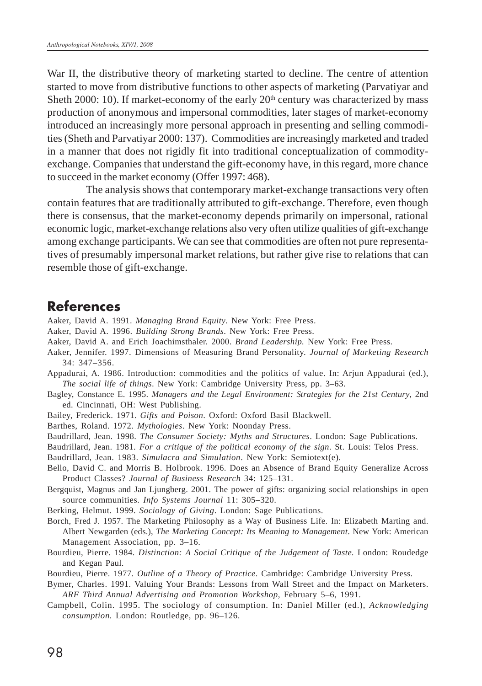War II, the distributive theory of marketing started to decline. The centre of attention started to move from distributive functions to other aspects of marketing (Parvatiyar and Sheth 2000: 10). If market-economy of the early  $20<sup>th</sup>$  century was characterized by mass production of anonymous and impersonal commodities, later stages of market-economy introduced an increasingly more personal approach in presenting and selling commodities (Sheth and Parvatiyar 2000: 137). Commodities are increasingly marketed and traded in a manner that does not rigidly fit into traditional conceptualization of commodityexchange. Companies that understand the gift-economy have, in this regard, more chance to succeed in the market economy (Offer 1997: 468).

The analysis shows that contemporary market-exchange transactions very often contain features that are traditionally attributed to gift-exchange. Therefore, even though there is consensus, that the market-economy depends primarily on impersonal, rational economic logic, market-exchange relations also very often utilize qualities of gift-exchange among exchange participants. We can see that commodities are often not pure representatives of presumably impersonal market relations, but rather give rise to relations that can resemble those of gift-exchange.

#### **References**

- Aaker, David A. 1991. *Managing Brand Equity*. New York: Free Press.
- Aaker, David A. 1996. *Building Strong Brands*. New York: Free Press.
- Aaker, David A. and Erich Joachimsthaler. 2000. *Brand Leadership.* New York: Free Press.
- Aaker, Jennifer. 1997. Dimensions of Measuring Brand Personality. *Journal of Marketing Research* 34: 347–356.

Appadurai, A. 1986. Introduction: commodities and the politics of value. In: Arjun Appadurai (ed.), *The social life of things*. New York: Cambridge University Press, pp. 3–63.

- Bagley, Constance E. 1995. *Managers and the Legal Environment: Strategies for the 21st Century*, 2nd ed. Cincinnati, OH: West Publishing.
- Bailey, Frederick. 1971. *Gifts and Poison*. Oxford: Oxford Basil Blackwell.
- Barthes, Roland. 1972. *Mythologies*. New York: Noonday Press.
- Baudrillard, Jean. 1998. *The Consumer Society: Myths and Structures*. London: Sage Publications.
- Baudrillard, Jean. 1981. *For a critique of the political economy of the sign*. St. Louis: Telos Press.

Baudrillard, Jean. 1983. *Simulacra and Simulation*. New York: Semiotext(e).

- Bello, David C. and Morris B. Holbrook. 1996. Does an Absence of Brand Equity Generalize Across Product Classes? *Journal of Business Research* 34: 125–131.
- Bergquist, Magnus and Jan Ljungberg. 2001. The power of gifts: organizing social relationships in open source communities. *Info Systems Journal* 11: 305–320.
- Berking, Helmut. 1999. *Sociology of Giving*. London: Sage Publications.
- Borch, Fred J. 1957. The Marketing Philosophy as a Way of Business Life. In: Elizabeth Marting and. Albert Newgarden (eds.), *The Marketing Concept: Its Meaning to Management*. New York: American Management Association, pp. 3–16.
- Bourdieu, Pierre. 1984. *Distinction: A Social Critique of the Judgement of Taste.* London: Roudedge and Kegan Paul.
- Bourdieu, Pierre. 1977. *Outline of a Theory of Practice*. Cambridge: Cambridge University Press.
- Bymer, Charles. 1991. Valuing Your Brands: Lessons from Wall Street and the Impact on Marketers. *ARF Third Annual Advertising and Promotion Workshop*, February 5–6, 1991.
- Campbell, Colin. 1995. The sociology of consumption. In: Daniel Miller (ed.), *Acknowledging consumption.* London: Routledge, pp. 96–126.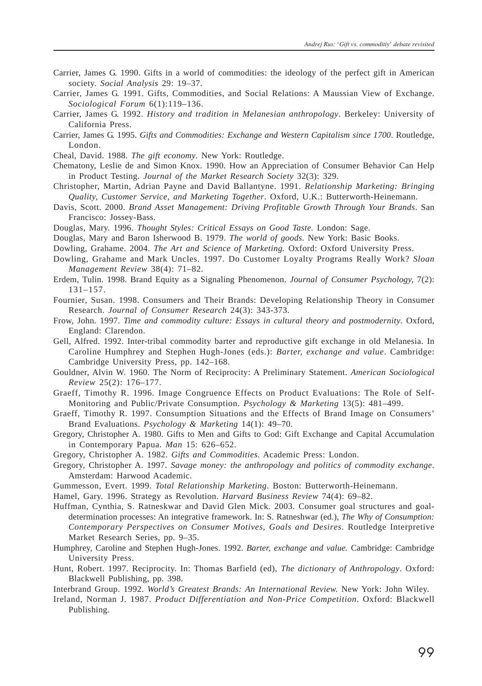- Carrier, James G. 1990. Gifts in a world of commodities: the ideology of the perfect gift in American society. *Social Analysis* 29: 19–37.
- Carrier, James G. 1991. Gifts, Commodities, and Social Relations: A Maussian View of Exchange. *Sociological Forum* 6(1):119–136.
- Carrier, James G. 1992. *History and tradition in Melanesian anthropology*. Berkeley: University of California Press.
- Carrier, James G. 1995. *Gifts and Commodities: Exchange and Western Capitalism since 1700*. Routledge, London.
- Cheal, David. 1988. *The gift economy*. New York: Routledge.
- Chematony, Leslie de and Simon Knox. 1990. How an Appreciation of Consumer Behavior Can Help in Product Testing. *Journal of the Market Research Society* 32(3): 329.
- Christopher, Martin, Adrian Payne and David Ballantyne. 1991. *Relationship Marketing: Bringing Quality, Customer Service, and Marketing Together*. Oxford, U.K.: Butterworth-Heinemann.
- Davis, Scott. 2000. *Brand Asset Management: Driving Profitable Growth Through Your Brands*. San Francisco: Jossey-Bass.
- Douglas, Mary. 1996. *Thought Styles: Critical Essays on Good Taste.* London: Sage.
- Douglas, Mary and Baron Isherwood B. 1979. *The world of goods*. New York: Basic Books.
- Dowling, Grahame. 2004. *The Art and Science of Marketing.* Oxford: Oxford University Press.
- Dowling, Grahame and Mark Uncles. 1997. Do Customer Loyalty Programs Really Work? *Sloan Management Review* 38(4): 71–82.
- Erdem, Tulin. 1998. Brand Equity as a Signaling Phenomenon. *Journal of Consumer Psychology,* 7(2): 131–157.
- Fournier, Susan. 1998. Consumers and Their Brands: Developing Relationship Theory in Consumer Research. *Journal of Consumer Research* 24(3): 343-373.
- Frow, John. 1997. *Time and commodity culture: Essays in cultural theory and postmodernity*. Oxford, England: Clarendon.
- Gell, Alfred. 1992. Inter-tribal commodity barter and reproductive gift exchange in old Melanesia. In Caroline Humphrey and Stephen Hugh-Jones (eds.): *Barter, exchange and value*. Cambridge: Cambridge University Press, pp. 142–168.
- Gouldner, Alvin W. 1960. The Norm of Reciprocity: A Preliminary Statement. *American Sociological Review* 25(2): 176–177.
- Graeff, Timothy R. 1996. Image Congruence Effects on Product Evaluations: The Role of Self-Monitoring and Public/Private Consumption. *Psychology & Marketing* 13(5): 481–499.
- Graeff, Timothy R. 1997. Consumption Situations and the Effects of Brand Image on Consumers' Brand Evaluations. *Psychology & Marketing* 14(1): 49–70.
- Gregory, Christopher A. 1980. Gifts to Men and Gifts to God: Gift Exchange and Capital Accumulation in Contemporary Papua. *Man* 15: 626–652.
- Gregory, Christopher A. 1982. *Gifts and Commodities.* Academic Press: London.
- Gregory, Christopher A. 1997. *Savage money: the anthropology and politics of commodity exchange*. Amsterdam: Harwood Academic.
- Gummesson, Evert. 1999. *Total Relationship Marketing*. Boston: Butterworth-Heinemann.
- Hamel, Gary. 1996. Strategy as Revolution. *Harvard Business Review* 74(4): 69–82.
- Huffman, Cynthia, S. Ratneskwar and David Glen Mick. 2003. Consumer goal structures and goaldetermination processes: An integrative framework. In: S. Ratneshwar (ed.), *The Why of Consumption: Contemporary Perspectives on Consumer Motives, Goals and Desires*. Routledge Interpretive Market Research Series, pp. 9–35.
- Humphrey, Caroline and Stephen Hugh-Jones. 1992. *Barter, exchange and value.* Cambridge: Cambridge University Press.
- Hunt, Robert. 1997. Reciprocity. In: Thomas Barfield (ed), *The dictionary of Anthropology*. Oxford: Blackwell Publishing, pp. 398.
- Interbrand Group. 1992. *World's Greatest Brands: An International Review.* New York: John Wiley.
- Ireland, Norman J. 1987. *Product Differentiation and Non-Price Competition*. Oxford: Blackwell Publishing.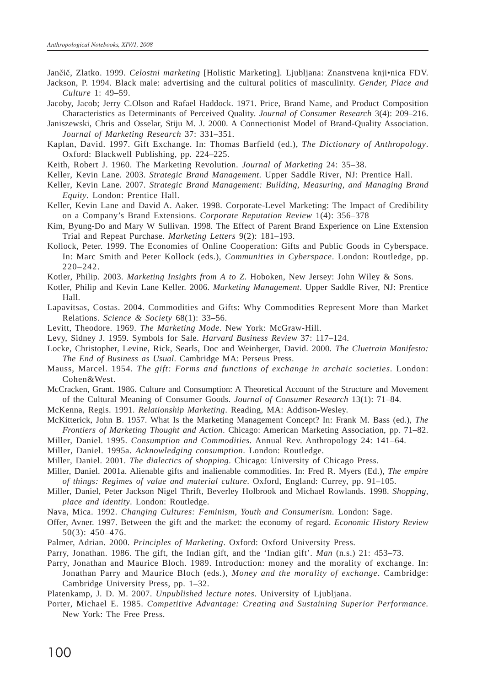- Jan~i~, Zlatko. 1999. *Celostni marketing* [Holistic Marketing]*.* Ljubljana: Znanstvena knji•nica FDV. Jackson, P. 1994. Black male: advertising and the cultural politics of masculinity. *Gender, Place and*
- *Culture* 1: 49–59.
- Jacoby, Jacob; Jerry C.Olson and Rafael Haddock. 1971. Price, Brand Name, and Product Composition Characteristics as Determinants of Perceived Quality. *Journal of Consumer Research* 3(4): 209–216.
- Janiszewski, Chris and Osselar, Stiju M. J. 2000. A Connectionist Model of Brand-Quality Association. *Journal of Marketing Research* 37: 331–351.
- Kaplan, David. 1997. Gift Exchange. In: Thomas Barfield (ed.), *The Dictionary of Anthropology*. Oxford: Blackwell Publishing, pp. 224–225.
- Keith, Robert J. 1960. The Marketing Revolution. *Journal of Marketing* 24: 35–38.
- Keller, Kevin Lane. 2003. *Strategic Brand Management*. Upper Saddle River, NJ: Prentice Hall.
- Keller, Kevin Lane. 2007. *Strategic Brand Management: Building, Measuring, and Managing Brand Equity*. London: Prentice Hall.
- Keller, Kevin Lane and David A. Aaker. 1998. Corporate-Level Marketing: The Impact of Credibility on a Company's Brand Extensions. *Corporate Reputation Review* 1(4): 356–378
- Kim, Byung-Do and Mary W Sullivan. 1998. The Effect of Parent Brand Experience on Line Extension Trial and Repeat Purchase. *Marketing Letters* 9(2): 181–193.
- Kollock, Peter. 1999. The Economies of Online Cooperation: Gifts and Public Goods in Cyberspace. In: Marc Smith and Peter Kollock (eds.), *Communities in Cyberspace*. London: Routledge, pp. 220–242.
- Kotler, Philip. 2003. *Marketing Insights from A to Z*. Hoboken, New Jersey: John Wiley & Sons.
- Kotler, Philip and Kevin Lane Keller. 2006. *Marketing Management*. Upper Saddle River, NJ: Prentice Hall.
- Lapavitsas, Costas. 2004. Commodities and Gifts: Why Commodities Represent More than Market Relations. *Science & Society* 68(1): 33–56.
- Levitt, Theodore. 1969. *The Marketing Mode*. New York: McGraw-Hill.
- Levy, Sidney J. 1959. Symbols for Sale. *Harvard Business Review* 37: 117–124.
- Locke, Christopher, Levine, Rick, Searls, Doc and Weinberger, David. 2000. *The Cluetrain Manifesto: The End of Business as Usual*. Cambridge MA: Perseus Press.
- Mauss, Marcel. 1954. *The gift: Forms and functions of exchange in archaic societies*. London: Cohen&West.
- McCracken, Grant. 1986. Culture and Consumption: A Theoretical Account of the Structure and Movement of the Cultural Meaning of Consumer Goods. *Journal of Consumer Research* 13(1): 71–84.
- McKenna, Regis. 1991. *Relationship Marketing*. Reading, MA: Addison-Wesley.
- McKitterick, John B. 1957. What Is the Marketing Management Concept? In: Frank M. Bass (ed.), *The Frontiers of Marketing Thought and Action*. Chicago: American Marketing Association, pp. 71–82.
- Miller, Daniel. 1995. *Consumption and Commodities.* Annual Rev. Anthropology 24: 141–64.
- Miller, Daniel. 1995a. *Acknowledging consumption*. London: Routledge.
- Miller, Daniel. 2001. *The dialectics of shopping*. Chicago: University of Chicago Press.
- Miller, Daniel. 2001a. Alienable gifts and inalienable commodities. In: Fred R. Myers (Ed.), *The empire of things: Regimes of value and material culture*. Oxford, England: Currey, pp. 91–105.
- Miller, Daniel, Peter Jackson Nigel Thrift, Beverley Holbrook and Michael Rowlands. 1998. *Shopping, place and identity*. London: Routledge.
- Nava, Mica. 1992. *Changing Cultures: Feminism, Youth and Consumerism.* London: Sage.
- Offer, Avner. 1997. Between the gift and the market: the economy of regard. *Economic History Review* 50(3): 450–476.
- Palmer, Adrian. 2000. *Principles of Marketing*. Oxford: Oxford University Press.
- Parry, Jonathan. 1986. The gift, the Indian gift, and the 'Indian gift'. *Man* (n.s.) 21: 453–73.
- Parry, Jonathan and Maurice Bloch. 1989. Introduction: money and the morality of exchange. In: Jonathan Parry and Maurice Bloch (eds.), *Money and the morality of exchange*. Cambridge: Cambridge University Press, pp. 1–32.
- Platenkamp, J. D. M. 2007. *Unpublished lecture notes*. University of Ljubljana.
- Porter, Michael E. 1985. *Competitive Advantage: Creating and Sustaining Superior Performance.* New York: The Free Press.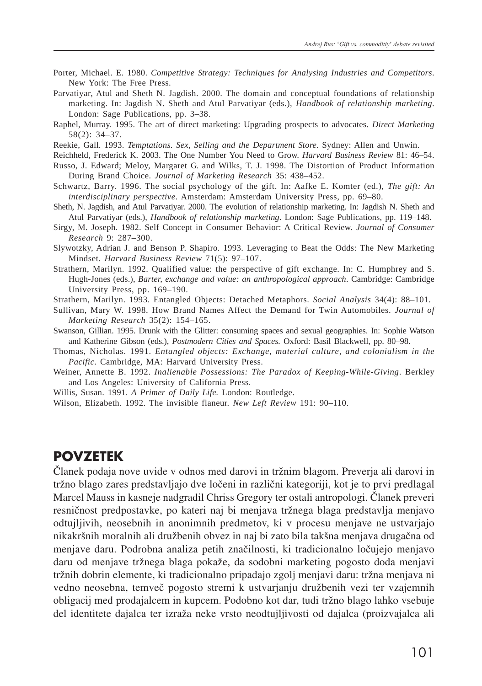- Porter, Michael. E. 1980. *Competitive Strategy: Techniques for Analysing Industries and Competitors*. New York: The Free Press.
- Parvatiyar, Atul and Sheth N. Jagdish. 2000. The domain and conceptual foundations of relationship marketing. In: Jagdish N. Sheth and Atul Parvatiyar (eds.), *Handbook of relationship marketing*. London: Sage Publications, pp. 3–38.
- Raphel, Murray. 1995. The art of direct marketing: Upgrading prospects to advocates. *Direct Marketing* 58(2): 34–37.
- Reekie, Gall. 1993. *Temptations. Sex, Selling and the Department Store*. Sydney: Allen and Unwin.

Reichheld, Frederick K. 2003. The One Number You Need to Grow. *Harvard Business Review* 81: 46–54.

- Russo, J. Edward; Meloy, Margaret G. and Wilks, T. J. 1998. The Distortion of Product Information During Brand Choice. *Journal of Marketing Research* 35: 438–452.
- Schwartz, Barry. 1996. The social psychology of the gift. In: Aafke E. Komter (ed.), *The gift: An interdisciplinary perspective*. Amsterdam: Amsterdam University Press, pp. 69–80.
- Sheth, N. Jagdish, and Atul Parvatiyar. 2000. The evolution of relationship marketing. In: Jagdish N. Sheth and Atul Parvatiyar (eds.), *Handbook of relationship marketing*. London: Sage Publications, pp. 119–148.
- Sirgy, M. Joseph. 1982. Self Concept in Consumer Behavior: A Critical Review. *Journal of Consumer Research* 9: 287–300.
- Slywotzky, Adrian J. and Benson P. Shapiro. 1993. Leveraging to Beat the Odds: The New Marketing Mindset. *Harvard Business Review* 71(5): 97–107.
- Strathern, Marilyn. 1992. Qualified value: the perspective of gift exchange. In: C. Humphrey and S. Hugh-Jones (eds.), *Barter, exchange and value: an anthropological approach*. Cambridge: Cambridge University Press, pp. 169–190.
- Strathern, Marilyn. 1993. Entangled Objects: Detached Metaphors. *Social Analysis* 34(4): 88–101.
- Sullivan, Mary W. 1998. How Brand Names Affect the Demand for Twin Automobiles. *Journal of Marketing Research* 35(2): 154–165.
- Swanson, Gillian. 1995. Drunk with the Glitter: consuming spaces and sexual geographies. In: Sophie Watson and Katherine Gibson (eds.), *Postmodern Cities and Spaces.* Oxford: Basil Blackwell, pp. 80–98.
- Thomas, Nicholas. 1991. *Entangled objects: Exchange, material culture, and colonialism in the Pacific*. Cambridge, MA: Harvard University Press.
- Weiner, Annette B. 1992. *Inalienable Possessions: The Paradox of Keeping-While-Giving*. Berkley and Los Angeles: University of California Press.
- Willis, Susan. 1991. *A Primer of Daily Life.* London: Routledge.
- Wilson, Elizabeth. 1992. The invisible flaneur. *New Left Review* 191: 90–110.

#### **POVZETEK**

^lanek podaja nove uvide v odnos med darovi in tr`nim blagom. Preverja ali darovi in tržno blago zares predstavljajo dve ločeni in različni kategoriji, kot je to prvi predlagal Marcel Mauss in kasneje nadgradil Chriss Gregory ter ostali antropologi. Članek preveri resničnost predpostavke, po kateri naj bi menjava tržnega blaga predstavlja menjavo odtujljivih, neosebnih in anonimnih predmetov, ki v procesu menjave ne ustvarjajo nikakršnih moralnih ali družbenih obvez in naj bi zato bila takšna menjava drugačna od menjave daru. Podrobna analiza petih značilnosti, ki tradicionalno ločujejo menjavo daru od menjave tržnega blaga pokaže, da sodobni marketing pogosto doda menjavi tržnih dobrin elemente, ki tradicionalno pripadajo zgolj menjavi daru: tržna menjava ni vedno neosebna, temveč pogosto stremi k ustvarjanju družbenih vezi ter vzajemnih obligacij med prodajalcem in kupcem. Podobno kot dar, tudi tržno blago lahko vsebuje del identitete dajalca ter izra`a neke vrsto neodtujljivosti od dajalca (proizvajalca ali